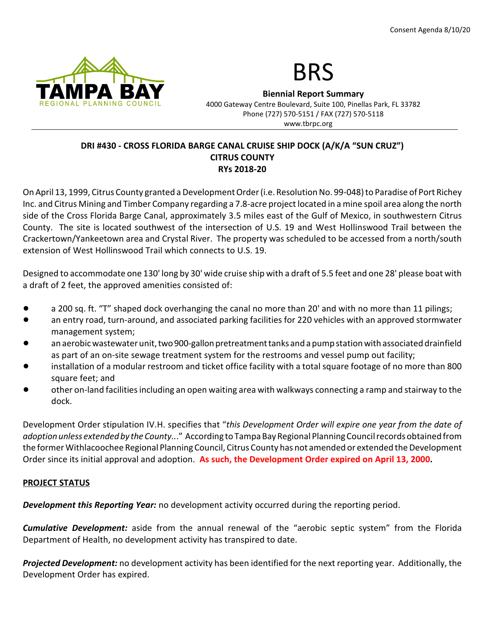



Biennial Report Summary 4000 Gateway Centre Boulevard, Suite 100, Pinellas Park, FL 33782 Phone (727) 570-5151 / FAX (727) 570-5118 www.tbrpc.org

# DRI #430 - CROSS FLORIDA BARGE CANAL CRUISE SHIP DOCK (A/K/A "SUN CRUZ") CITRUS COUNTY RYs 2018-20

On April 13, 1999, Citrus County granted a Development Order (i.e. Resolution No. 99-048) to Paradise of Port Richey Inc. and Citrus Mining and Timber Company regarding a 7.8-acre project located in a mine spoil area along the north side of the Cross Florida Barge Canal, approximately 3.5 miles east of the Gulf of Mexico, in southwestern Citrus County. The site is located southwest of the intersection of U.S. 19 and West Hollinswood Trail between the Crackertown/Yankeetown area and Crystal River. The property was scheduled to be accessed from a north/south extension of West Hollinswood Trail which connects to U.S. 19.

Designed to accommodate one 130' long by 30' wide cruise ship with a draft of 5.5 feet and one 28' please boat with a draft of 2 feet, the approved amenities consisted of:

- a 200 sq. ft. "T" shaped dock overhanging the canal no more than 20' and with no more than 11 pilings;
- an entry road, turn-around, and associated parking facilities for 220 vehicles with an approved stormwater management system;
- ! an aerobic wastewater unit, two 900-gallon pretreatment tanks and a pump station with associated drainfield as part of an on-site sewage treatment system for the restrooms and vessel pump out facility;
- installation of a modular restroom and ticket office facility with a total square footage of no more than 800 square feet; and
- other on-land facilities including an open waiting area with walkways connecting a ramp and stairway to the dock.

Development Order stipulation IV.H. specifies that "this Development Order will expire one year from the date of adoption unless extended by the County..." According to Tampa Bay Regional Planning Council records obtained from the former Withlacoochee Regional Planning Council, Citrus County has not amended or extended the Development Order since its initial approval and adoption. As such, the Development Order expired on April 13, 2000.

# PROJECT STATUS

**Development this Reporting Year:** no development activity occurred during the reporting period.

**Cumulative Development:** aside from the annual renewal of the "aerobic septic system" from the Florida Department of Health, no development activity has transpired to date.

Projected Development: no development activity has been identified for the next reporting year. Additionally, the Development Order has expired.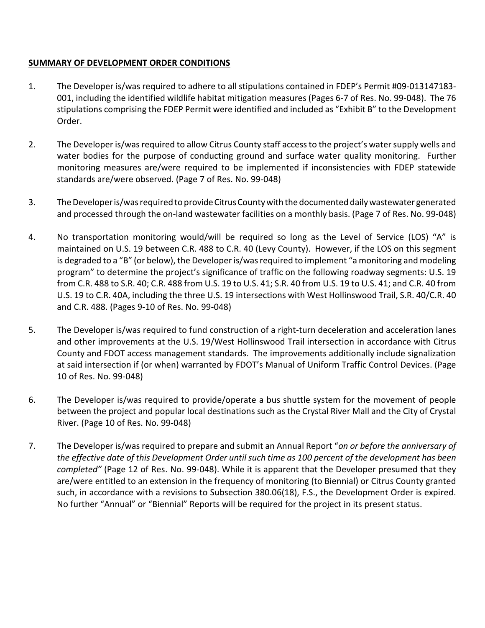# SUMMARY OF DEVELOPMENT ORDER CONDITIONS

- 1. The Developer is/was required to adhere to all stipulations contained in FDEP's Permit #09-013147183- 001, including the identified wildlife habitat mitigation measures (Pages 6-7 of Res. No. 99-048). The 76 stipulations comprising the FDEP Permit were identified and included as "Exhibit B" to the Development Order.
- 2. The Developer is/was required to allow Citrus County staff access to the project's water supply wells and water bodies for the purpose of conducting ground and surface water quality monitoring. Further monitoring measures are/were required to be implemented if inconsistencies with FDEP statewide standards are/were observed. (Page 7 of Res. No. 99-048)
- 3. The Developer is/was required to provide Citrus County with the documented daily wastewater generated and processed through the on-land wastewater facilities on a monthly basis. (Page 7 of Res. No. 99-048)
- 4. No transportation monitoring would/will be required so long as the Level of Service (LOS) "A" is maintained on U.S. 19 between C.R. 488 to C.R. 40 (Levy County). However, if the LOS on this segment is degraded to a "B" (or below), the Developer is/was required to implement "a monitoring and modeling program" to determine the project's significance of traffic on the following roadway segments: U.S. 19 from C.R. 488 to S.R. 40; C.R. 488 from U.S. 19 to U.S. 41; S.R. 40 from U.S. 19 to U.S. 41; and C.R. 40 from U.S. 19 to C.R. 40A, including the three U.S. 19 intersections with West Hollinswood Trail, S.R. 40/C.R. 40 and C.R. 488. (Pages 9-10 of Res. No. 99-048)
- 5. The Developer is/was required to fund construction of a right-turn deceleration and acceleration lanes and other improvements at the U.S. 19/West Hollinswood Trail intersection in accordance with Citrus County and FDOT access management standards. The improvements additionally include signalization at said intersection if (or when) warranted by FDOT's Manual of Uniform Traffic Control Devices. (Page 10 of Res. No. 99-048)
- 6. The Developer is/was required to provide/operate a bus shuttle system for the movement of people between the project and popular local destinations such as the Crystal River Mall and the City of Crystal River. (Page 10 of Res. No. 99-048)
- 7. The Developer is/was required to prepare and submit an Annual Report "on or before the anniversary of the effective date of this Development Order until such time as 100 percent of the development has been completed" (Page 12 of Res. No. 99-048). While it is apparent that the Developer presumed that they are/were entitled to an extension in the frequency of monitoring (to Biennial) or Citrus County granted such, in accordance with a revisions to Subsection 380.06(18), F.S., the Development Order is expired. No further "Annual" or "Biennial" Reports will be required for the project in its present status.